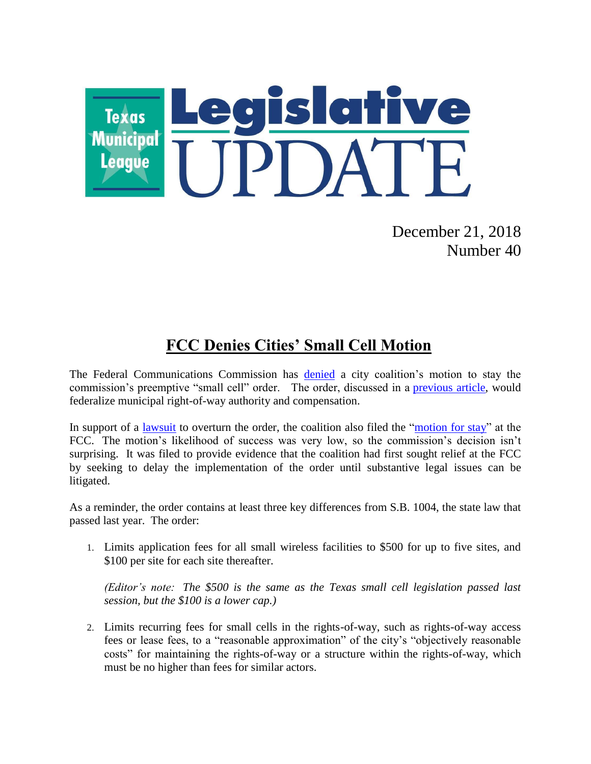

December 21, 2018 Number 40

# **FCC Denies Cities' Small Cell Motion**

The Federal Communications Commission has **[denied](https://docs.fcc.gov/public/attachments/DA-18-1240A1.pdf)** a city coalition's motion to stay the commission's preemptive "small cell" order. The order, discussed in a [previous article,](https://www.tml.org/legis_updates/fcc-releases-preemptive-small-cell-order_2018-28) would federalize municipal right-of-way authority and compensation.

In support of a [lawsuit](https://www.tml.org/p/Petition%20for%20Review%20-%20FCC%20Small%20Cell%20Order.pdf) to overturn the order, the coalition also filed the ["motion for stay"](https://www.tml.org/p/MOTON%20FOR%20STAY-c2.PDF) at the FCC. The motion's likelihood of success was very low, so the commission's decision isn't surprising. It was filed to provide evidence that the coalition had first sought relief at the FCC by seeking to delay the implementation of the order until substantive legal issues can be litigated.

As a reminder, the order contains at least three key differences from S.B. 1004, the state law that passed last year. The order:

1. Limits application fees for all small wireless facilities to \$500 for up to five sites, and \$100 per site for each site thereafter.

*(Editor's note: The \$500 is the same as the Texas small cell legislation passed last session, but the \$100 is a lower cap.)*

2. Limits recurring fees for small cells in the rights-of-way, such as rights-of-way access fees or lease fees, to a "reasonable approximation" of the city's "objectively reasonable costs" for maintaining the rights-of-way or a structure within the rights-of-way, which must be no higher than fees for similar actors.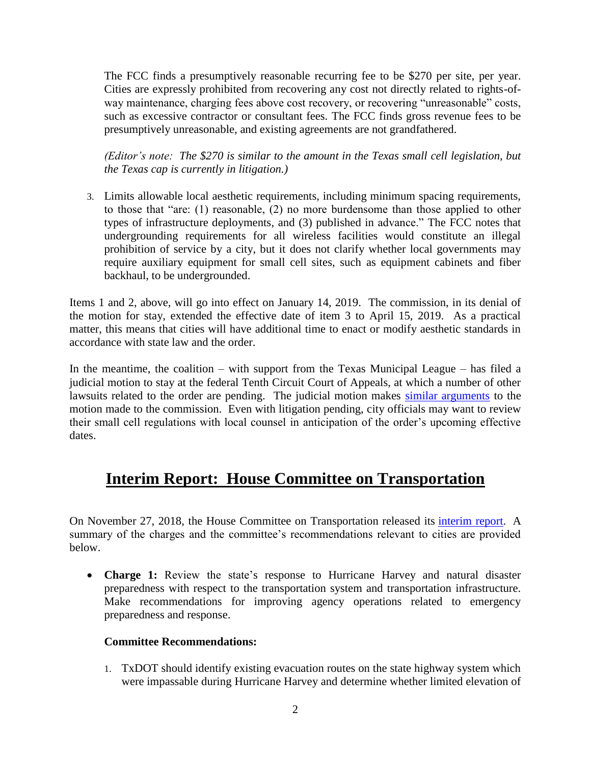The FCC finds a presumptively reasonable recurring fee to be \$270 per site, per year. Cities are expressly prohibited from recovering any cost not directly related to rights-ofway maintenance, charging fees above cost recovery, or recovering "unreasonable" costs, such as excessive contractor or consultant fees. The FCC finds gross revenue fees to be presumptively unreasonable, and existing agreements are not grandfathered.

*(Editor's note: The \$270 is similar to the amount in the Texas small cell legislation, but the Texas cap is currently in litigation.)*

3. Limits allowable local aesthetic requirements, including minimum spacing requirements, to those that "are: (1) reasonable, (2) no more burdensome than those applied to other types of infrastructure deployments, and (3) published in advance." The FCC notes that undergrounding requirements for all wireless facilities would constitute an illegal prohibition of service by a city, but it does not clarify whether local governments may require auxiliary equipment for small cell sites, such as equipment cabinets and fiber backhaul, to be undergrounded.

Items 1 and 2, above, will go into effect on January 14, 2019. The commission, in its denial of the motion for stay, extended the effective date of item 3 to April 15, 2019. As a practical matter, this means that cities will have additional time to enact or modify aesthetic standards in accordance with state law and the order.

In the meantime, the coalition – with support from the Texas Municipal League – has filed a judicial motion to stay at the federal Tenth Circuit Court of Appeals, at which a number of other lawsuits related to the order are pending. The judicial motion makes [similar arguments](https://www.tml.org/legis_updates/fcc-small-cell-update-litigation-begins) to the motion made to the commission. Even with litigation pending, city officials may want to review their small cell regulations with local counsel in anticipation of the order's upcoming effective dates.

## **Interim Report: House Committee on Transportation**

On November 27, 2018, the House Committee on Transportation released its [interim report.](https://www.lrl.state.tx.us/scanned/interim/85/T687.pdf) A summary of the charges and the committee's recommendations relevant to cities are provided below.

• **Charge 1:** Review the state's response to Hurricane Harvey and natural disaster preparedness with respect to the transportation system and transportation infrastructure. Make recommendations for improving agency operations related to emergency preparedness and response.

#### **Committee Recommendations:**

1. TxDOT should identify existing evacuation routes on the state highway system which were impassable during Hurricane Harvey and determine whether limited elevation of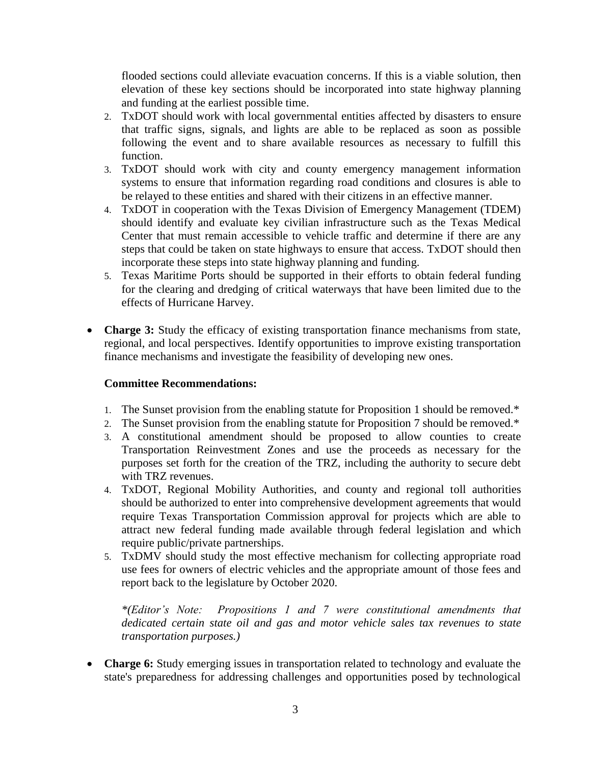flooded sections could alleviate evacuation concerns. If this is a viable solution, then elevation of these key sections should be incorporated into state highway planning and funding at the earliest possible time.

- 2. TxDOT should work with local governmental entities affected by disasters to ensure that traffic signs, signals, and lights are able to be replaced as soon as possible following the event and to share available resources as necessary to fulfill this function.
- 3. TxDOT should work with city and county emergency management information systems to ensure that information regarding road conditions and closures is able to be relayed to these entities and shared with their citizens in an effective manner.
- 4. TxDOT in cooperation with the Texas Division of Emergency Management (TDEM) should identify and evaluate key civilian infrastructure such as the Texas Medical Center that must remain accessible to vehicle traffic and determine if there are any steps that could be taken on state highways to ensure that access. TxDOT should then incorporate these steps into state highway planning and funding.
- 5. Texas Maritime Ports should be supported in their efforts to obtain federal funding for the clearing and dredging of critical waterways that have been limited due to the effects of Hurricane Harvey.
- **Charge 3:** Study the efficacy of existing transportation finance mechanisms from state, regional, and local perspectives. Identify opportunities to improve existing transportation finance mechanisms and investigate the feasibility of developing new ones.

#### **Committee Recommendations:**

- 1. The Sunset provision from the enabling statute for Proposition 1 should be removed.\*
- 2. The Sunset provision from the enabling statute for Proposition 7 should be removed.\*
- 3. A constitutional amendment should be proposed to allow counties to create Transportation Reinvestment Zones and use the proceeds as necessary for the purposes set forth for the creation of the TRZ, including the authority to secure debt with TRZ revenues.
- 4. TxDOT, Regional Mobility Authorities, and county and regional toll authorities should be authorized to enter into comprehensive development agreements that would require Texas Transportation Commission approval for projects which are able to attract new federal funding made available through federal legislation and which require public/private partnerships.
- 5. TxDMV should study the most effective mechanism for collecting appropriate road use fees for owners of electric vehicles and the appropriate amount of those fees and report back to the legislature by October 2020.

*\*(Editor's Note: Propositions 1 and 7 were constitutional amendments that dedicated certain state oil and gas and motor vehicle sales tax revenues to state transportation purposes.)*

 **Charge 6:** Study emerging issues in transportation related to technology and evaluate the state's preparedness for addressing challenges and opportunities posed by technological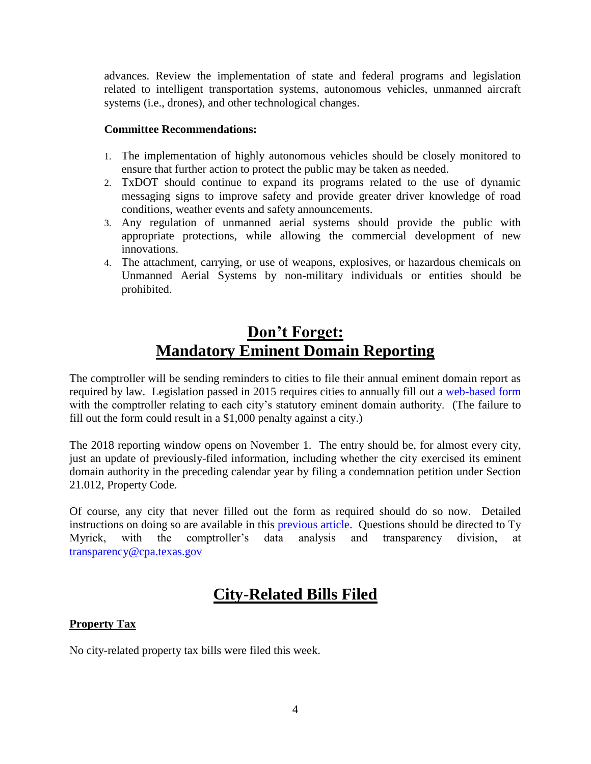advances. Review the implementation of state and federal programs and legislation related to intelligent transportation systems, autonomous vehicles, unmanned aircraft systems (i.e., drones), and other technological changes.

#### **Committee Recommendations:**

- 1. The implementation of highly autonomous vehicles should be closely monitored to ensure that further action to protect the public may be taken as needed.
- 2. TxDOT should continue to expand its programs related to the use of dynamic messaging signs to improve safety and provide greater driver knowledge of road conditions, weather events and safety announcements.
- 3. Any regulation of unmanned aerial systems should provide the public with appropriate protections, while allowing the commercial development of new innovations.
- 4. The attachment, carrying, or use of weapons, explosives, or hazardous chemicals on Unmanned Aerial Systems by non-military individuals or entities should be prohibited.

## **Don't Forget: Mandatory Eminent Domain Reporting**

The comptroller will be sending reminders to cities to file their annual eminent domain report as required by law. Legislation passed in 2015 requires cities to annually fill out a [web-based form](https://www.comptroller.texas.gov/transparency/local/eminent-domain/reporting.php) with the comptroller relating to each city's statutory eminent domain authority. (The failure to fill out the form could result in a \$1,000 penalty against a city.)

The 2018 reporting window opens on November 1. The entry should be, for almost every city, just an update of previously-filed information, including whether the city exercised its eminent domain authority in the preceding calendar year by filing a condemnation petition under Section 21.012, Property Code.

Of course, any city that never filled out the form as required should do so now. Detailed instructions on doing so are available in this [previous article.](https://www.tml.org/legis_updates/LU2015-42#mandatory) Questions should be directed to Ty Myrick, with the comptroller's data analysis and transparency division, at [transparency@cpa.texas.gov](mailto:transparency@cpa.texas.gov)

## **City-Related Bills Filed**

### **Property Tax**

No city-related property tax bills were filed this week.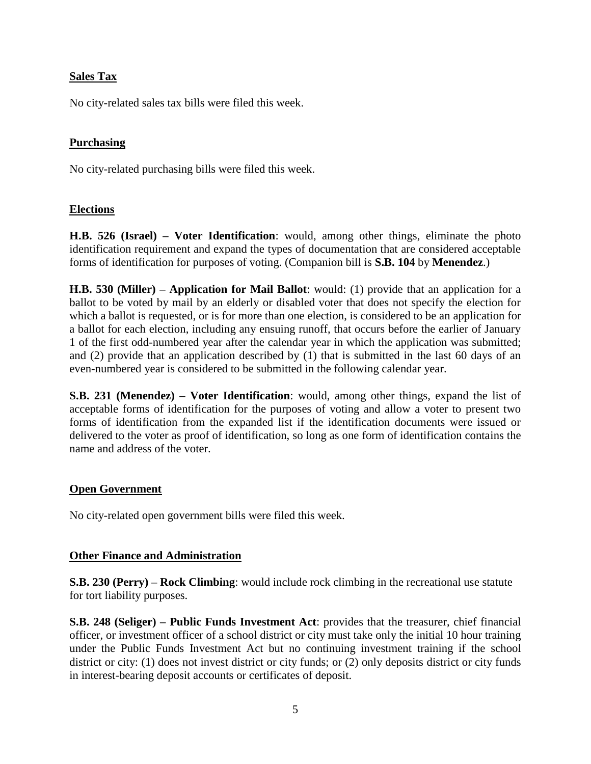#### **Sales Tax**

No city-related sales tax bills were filed this week.

#### **Purchasing**

No city-related purchasing bills were filed this week.

#### **Elections**

**H.B. 526 (Israel) – Voter Identification**: would, among other things, eliminate the photo identification requirement and expand the types of documentation that are considered acceptable forms of identification for purposes of voting. (Companion bill is **S.B. 104** by **Menendez**.)

**H.B. 530 (Miller) – Application for Mail Ballot**: would: (1) provide that an application for a ballot to be voted by mail by an elderly or disabled voter that does not specify the election for which a ballot is requested, or is for more than one election, is considered to be an application for a ballot for each election, including any ensuing runoff, that occurs before the earlier of January 1 of the first odd-numbered year after the calendar year in which the application was submitted; and (2) provide that an application described by (1) that is submitted in the last 60 days of an even-numbered year is considered to be submitted in the following calendar year.

**S.B. 231 (Menendez) – Voter Identification**: would, among other things, expand the list of acceptable forms of identification for the purposes of voting and allow a voter to present two forms of identification from the expanded list if the identification documents were issued or delivered to the voter as proof of identification, so long as one form of identification contains the name and address of the voter.

#### **Open Government**

No city-related open government bills were filed this week.

#### **Other Finance and Administration**

**S.B. 230 (Perry) – Rock Climbing**: would include rock climbing in the recreational use statute for tort liability purposes.

**S.B. 248 (Seliger) – Public Funds Investment Act**: provides that the treasurer, chief financial officer, or investment officer of a school district or city must take only the initial 10 hour training under the Public Funds Investment Act but no continuing investment training if the school district or city: (1) does not invest district or city funds; or (2) only deposits district or city funds in interest-bearing deposit accounts or certificates of deposit.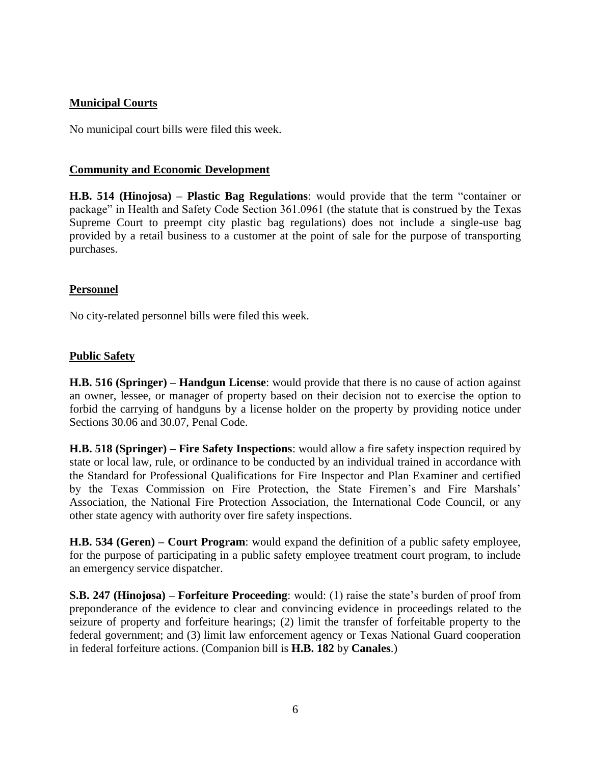### **Municipal Courts**

No municipal court bills were filed this week.

#### **Community and Economic Development**

**H.B. 514 (Hinojosa) – Plastic Bag Regulations**: would provide that the term "container or package" in Health and Safety Code Section 361.0961 (the statute that is construed by the Texas Supreme Court to preempt city plastic bag regulations) does not include a single-use bag provided by a retail business to a customer at the point of sale for the purpose of transporting purchases.

#### **Personnel**

No city-related personnel bills were filed this week.

#### **Public Safety**

**H.B. 516 (Springer) – Handgun License**: would provide that there is no cause of action against an owner, lessee, or manager of property based on their decision not to exercise the option to forbid the carrying of handguns by a license holder on the property by providing notice under Sections 30.06 and 30.07, Penal Code.

**H.B. 518 (Springer) – Fire Safety Inspections**: would allow a fire safety inspection required by state or local law, rule, or ordinance to be conducted by an individual trained in accordance with the Standard for Professional Qualifications for Fire Inspector and Plan Examiner and certified by the Texas Commission on Fire Protection, the State Firemen's and Fire Marshals' Association, the National Fire Protection Association, the International Code Council, or any other state agency with authority over fire safety inspections.

**H.B. 534 (Geren) – Court Program**: would expand the definition of a public safety employee, for the purpose of participating in a public safety employee treatment court program, to include an emergency service dispatcher.

**S.B. 247 (Hinojosa) – Forfeiture Proceeding**: would: (1) raise the state's burden of proof from preponderance of the evidence to clear and convincing evidence in proceedings related to the seizure of property and forfeiture hearings; (2) limit the transfer of forfeitable property to the federal government; and (3) limit law enforcement agency or Texas National Guard cooperation in federal forfeiture actions. (Companion bill is **H.B. 182** by **Canales**.)